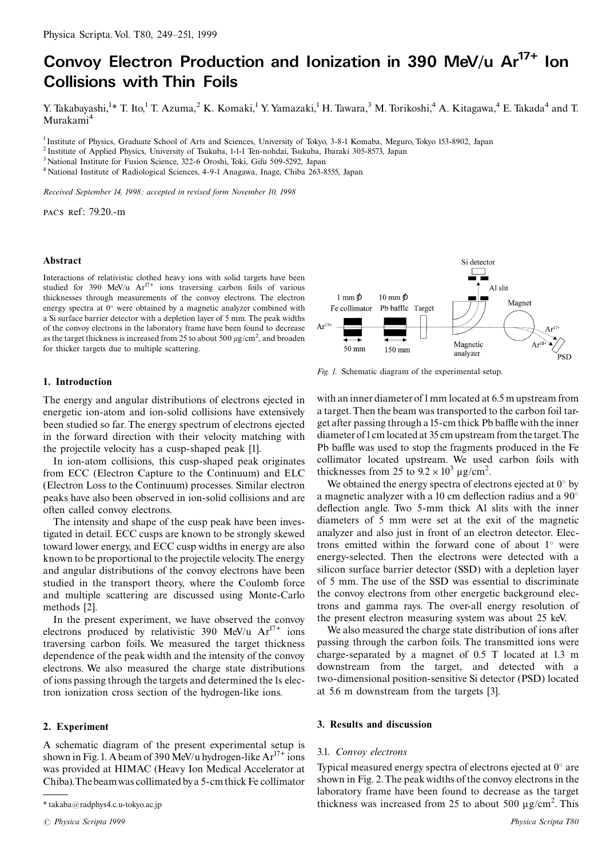# Convoy Electron Production and Ionization in 390 MeV/u Ar<sup>17+</sup> Ion **Collisions with Thin Foils**

Y. Takabayashi.<sup>1\*</sup> T. Ito.<sup>1</sup> T. Azuma.<sup>2</sup> K. Komaki.<sup>1</sup> Y. Yamazaki.<sup>1</sup> H. Tawara.<sup>3</sup> M. Torikoshi.<sup>4</sup> A. Kitagawa.<sup>4</sup> E. Takada<sup>4</sup> and T. Murakami<sup>4</sup>

<sup>1</sup> Institute of Physics, Graduate School of Arts and Sciences, University of Tokyo, 3-8-1 Komaba, Meguro, Tokyo 153-8902, Japan

<sup>2</sup> Institute of Applied Physics, University of Tsukuba, 1-1-1 Ten-nohdai, Tsukuba, Ibaraki 305-8573, Japan

<sup>3</sup> National Institute for Fusion Science, 322-6 Oroshi, Toki, Gifu 509-5292, Japan

<sup>4</sup> National Institute of Radiological Sciences, 4-9-1 Anagawa, Inage, Chiba 263-8555, Japan

Received September 14, 1998; accepted in revised form November 10, 1998

PACS Ref: 79.20.-m

## Abstract

Interactions of relativistic clothed heavy ions with solid targets have been studied for 390 MeV/u  $Ar^{17+}$  ions traversing carbon foils of various thicknesses through measurements of the convoy electrons. The electron energy spectra at  $0^{\circ}$  were obtained by a magnetic analyzer combined with a Si surface barrier detector with a depletion layer of 5 mm. The peak widths of the convoy electrons in the laboratory frame have been found to decrease as the target thickness is increased from 25 to about 500  $\mu$ g/cm<sup>2</sup>, and broaden for thicker targets due to multiple scattering.



The energy and angular distributions of electrons ejected in energetic ion-atom and ion-solid collisions have extensively been studied so far. The energy spectrum of electrons ejected in the forward direction with their velocity matching with the projectile velocity has a cusp-shaped peak [1].

In ion-atom collisions, this cusp-shaped peak originates from ECC (Electron Capture to the Continuum) and ELC (Electron Loss to the Continuum) processes. Similar electron peaks have also been observed in ion-solid collisions and are often called convoy electrons.

The intensity and shape of the cusp peak have been investigated in detail. ECC cusps are known to be strongly skewed toward lower energy, and ECC cusp widths in energy are also known to be proportional to the projectile velocity. The energy and angular distributions of the convoy electrons have been studied in the transport theory, where the Coulomb force and multiple scattering are discussed using Monte-Carlo methods [2].

In the present experiment, we have observed the convoy electrons produced by relativistic 390 MeV/u  $Ar^{17+}$  ions traversing carbon foils. We measured the target thickness dependence of the peak width and the intensity of the convoy electrons. We also measured the charge state distributions of ions passing through the targets and determined the 1s electron ionization cross section of the hydrogen-like ions.

## 2. Experiment

A schematic diagram of the present experimental setup is shown in Fig. 1. A beam of 390 MeV/u hydrogen-like  $Ar^{17+}$  ions was provided at HIMAC (Heavy Ion Medical Accelerator at Chiba). The beam was collimated by a 5-cm thick Fe collimator



Fig. 1. Schematic diagram of the experimental setup.

with an inner diameter of 1 mm located at 6.5 m upstream from a target. Then the beam was transported to the carbon foil target after passing through a 15-cm thick Pb baffle with the inner diameter of 1 cm located at 35 cm upstream from the target. The Pb baffle was used to stop the fragments produced in the Fe collimator located upstream. We used carbon foils with thicknesses from 25 to  $9.2 \times 10^3$  µg/cm<sup>2</sup>.

We obtained the energy spectra of electrons ejected at  $0^{\circ}$  by a magnetic analyzer with a 10 cm deflection radius and a 90° deflection angle. Two 5-mm thick Al slits with the inner diameters of 5 mm were set at the exit of the magnetic analyzer and also just in front of an electron detector. Electrons emitted within the forward cone of about 1° were energy-selected. Then the electrons were detected with a silicon surface barrier detector (SSD) with a depletion layer of 5 mm. The use of the SSD was essential to discriminate the convoy electrons from other energetic background electrons and gamma rays. The over-all energy resolution of the present electron measuring system was about 25 keV.

We also measured the charge state distribution of ions after passing through the carbon foils. The transmitted ions were charge-separated by a magnet of 0.5 T located at 1.3 m downstream from the target, and detected with a two-dimensional position-sensitive Si detector (PSD) located at 5.6 m downstream from the targets [3].

## 3. Results and discussion

#### 3.1. Convoy electrons

Typical measured energy spectra of electrons ejected at  $0^{\circ}$  are shown in Fig. 2. The peak widths of the convoy electrons in the laboratory frame have been found to decrease as the target thickness was increased from 25 to about 500  $\mu$ g/cm<sup>2</sup>. This

 $\displaystyle{*}$ takaba@radphys4.c.u-tokyo.ac.jp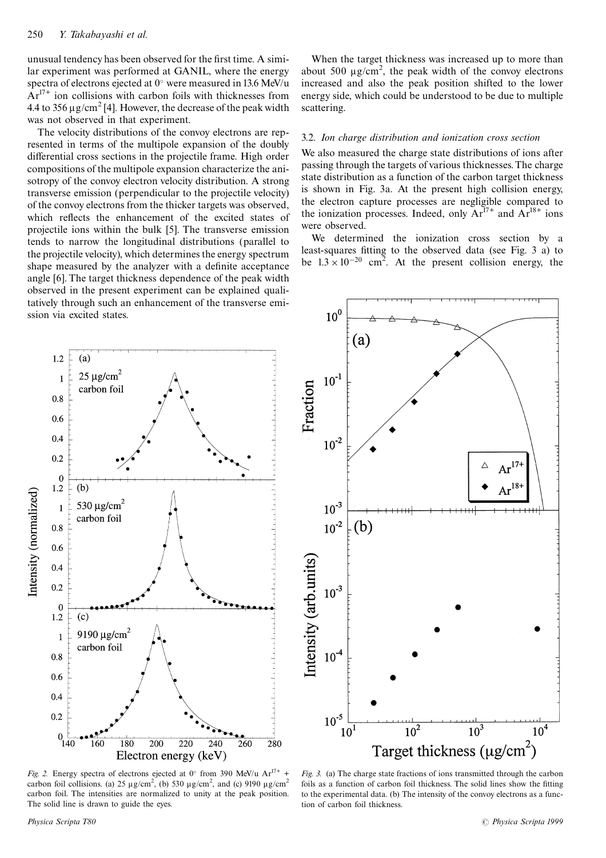unusual tendency has been observed for the first time. A similar experiment was performed at GANIL, where the energy spectra of electrons ejected at 0° were measured in 13.6 MeV/u  $Ar^{17+}$  ion collisions with carbon foils with thicknesses from 4.4 to 356  $\mu$ g/cm<sup>2</sup> [4]. However, the decrease of the peak width was not observed in that experiment.

The velocity distributions of the convoy electrons are represented in terms of the multipole expansion of the doubly differential cross sections in the projectile frame. High order compositions of the multipole expansion characterize the anisotropy of the convoy electron velocity distribution. A strong transverse emission (perpendicular to the projectile velocity) of the convoy electrons from the thicker targets was observed, which reflects the enhancement of the excited states of projectile ions within the bulk [5]. The transverse emission tends to narrow the longitudinal distributions (parallel to the projectile velocity), which determines the energy spectrum shape measured by the analyzer with a definite acceptance angle [6]. The target thickness dependence of the peak width observed in the present experiment can be explained qualitatively through such an enhancement of the transverse emission via excited states.

When the target thickness was increased up to more than about 500  $\mu$ g/cm<sup>2</sup>, the peak width of the convoy electrons increased and also the peak position shifted to the lower energy side, which could be understood to be due to multiple scattering.

#### 3.2. Ion charge distribution and ionization cross section

We also measured the charge state distributions of ions after passing through the targets of various thicknesses. The charge state distribution as a function of the carbon target thickness is shown in Fig. 3a. At the present high collision energy, the electron capture processes are negligible compared to the ionization processes. Indeed, only  $Ar^{17+}$  and  $Ar^{18+}$  ions were observed.

We determined the ionization cross section by a least-squares fitting to the observed data (see Fig. 3 a) to be  $1.3 \times 10^{-20}$  cm<sup>2</sup>. At the present collision energy, the



Fig. 2. Energy spectra of electrons ejected at  $0^{\circ}$  from 390 MeV/u  $Ar^{17+}$  + carbon foil collisions. (a) 25  $\mu$ g/cm<sup>2</sup>, (b) 530  $\mu$ g/cm<sup>2</sup>, and (c) 9190  $\mu$ g/cm<sup>2</sup> carbon foil. The intensities are normalized to unity at the peak position. The solid line is drawn to guide the eyes.



Fig. 3. (a) The charge state fractions of ions transmitted through the carbon foils as a function of carbon foil thickness. The solid lines show the fitting to the experimental data. (b) The intensity of the convoy electrons as a function of carbon foil thickness.